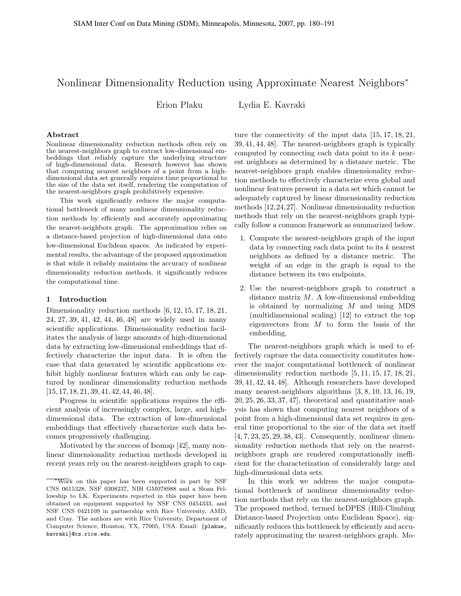# Nonlinear Dimensionality Reduction using Approximate Nearest Neighbors<sup>∗</sup>

Erion Plaku Lydia E. Kavraki

### Abstract

Nonlinear dimensionality reduction methods often rely on the nearest-neighbors graph to extract low-dimensional embeddings that reliably capture the underlying structure of high-dimensional data. Research however has shown that computing nearest neighbors of a point from a highdimensional data set generally requires time proportional to the size of the data set itself, rendering the computation of the nearest-neighbors graph prohibitively expensive.

This work significantly reduces the major computational bottleneck of many nonlinear dimensionality reduction methods by efficiently and accurately approximating the nearest-neighbors graph. The approximation relies on a distance-based projection of high-dimensional data onto low-dimensional Euclidean spaces. As indicated by experimental results, the advantage of the proposed approximation is that while it reliably maintains the accuracy of nonlinear dimensionality reduction methods, it significantly reduces the computational time.

### 1 Introduction

Dimensionality reduction methods [6, 12, 15, 17, 18, 21, 24, 27, 39, 41, 42, 44, 46, 48] are widely used in many scientific applications. Dimensionality reduction facilitates the analysis of large amounts of high-dimensional data by extracting low-dimensional embeddings that effectively characterize the input data. It is often the case that data generated by scientific applications exhibit highly nonlinear features which can only be captured by nonlinear dimensionality reduction methods [15, 17, 18, 21, 39, 41, 42, 44, 46, 48].

Progress in scientific applications requires the efficient analysis of increasingly complex, large, and highdimensional data. The extraction of low-dimensional embeddings that effectively characterize such data becomes progressively challenging.

Motivated by the success of Isomap [42], many nonlinear dimensionality reduction methods developed in recent years rely on the nearest-neighbors graph to capture the connectivity of the input data [15, 17, 18, 21, 39, 41, 44, 48]. The nearest-neighbors graph is typically computed by connecting each data point to its  $k$  nearest neighbors as determined by a distance metric. The nearest-neighbors graph enables dimensionality reduction methods to effectively characterize even global and nonlinear features present in a data set which cannot be adequately captured by linear dimensionality reduction methods [12,24,27]. Nonlinear dimensionality reduction methods that rely on the nearest-neighbors graph typically follow a common framework as summarized below.

- 1. Compute the nearest-neighbors graph of the input data by connecting each data point to its  $k$  nearest neighbors as defined by a distance metric. The weight of an edge in the graph is equal to the distance between its two endpoints.
- 2. Use the nearest-neighbors graph to construct a distance matrix  $M$ . A low-dimensional embedding is obtained by normalizing  $M$  and using MDS (multidimensional scaling) [12] to extract the top eigenvectors from  $M$  to form the basis of the embedding.

The nearest-neighbors graph which is used to effectively capture the data connectivity constitutes however the major computational bottleneck of nonlinear dimensionality reduction methods [5, 11, 15, 17, 18, 21, 39, 41, 42, 44, 48]. Although researchers have developed many nearest-neighbors algorithms [3, 8, 10, 13, 16, 19, 20, 25, 26, 33, 37, 47], theoretical and quantitative analysis has shown that computing nearest neighbors of a point from a high-dimensional data set requires in general time proportional to the size of the data set itself [4, 7, 23, 25, 29, 38, 43]. Consequently, nonlinear dimensionality reduction methods that rely on the nearestneighbors graph are rendered computationally inefficient for the characterization of considerably large and high-dimensional data sets.

In this work we address the major computational bottleneck of nonlinear dimensionality reduction methods that rely on the nearest-neighbors graph. The proposed method, termed hcDPES (Hill-Climbing Distance-based Projection onto Euclidean Space), significantly reduces this bottleneck by efficiently and accurately approximating the nearest-neighbors graph. Mo-

Work on this paper has been supported in part by NSF CNS 0615328, NSF 0308237, NIH GM078988 and a Sloan Fellowship to LK. Experiments reported in this paper have been obtained on equipment supported by NSF CNS 0454333, and NSF CNS 0421109 in partnership with Rice University, AMD, and Cray. The authors are with Rice University, Department of Computer Science, Houston, TX, 77005, USA. Email: {plakue, kavraki}@cs.rice.edu.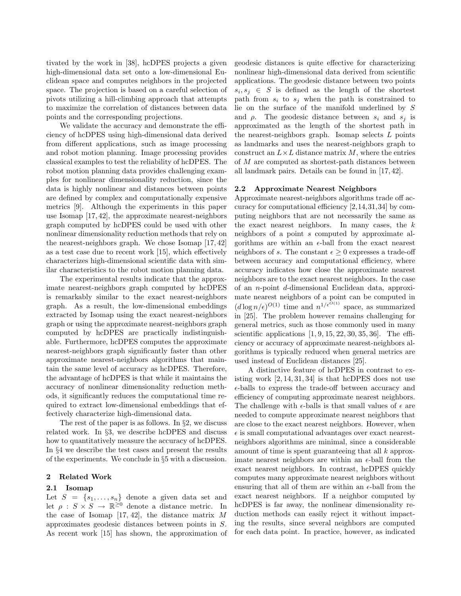tivated by the work in [38], hcDPES projects a given high-dimensional data set onto a low-dimensional Euclidean space and computes neighbors in the projected space. The projection is based on a careful selection of pivots utilizing a hill-climbing approach that attempts to maximize the correlation of distances between data points and the corresponding projections.

We validate the accuracy and demonstrate the efficiency of hcDPES using high-dimensional data derived from different applications, such as image processing and robot motion planning. Image processing provides classical examples to test the reliability of hcDPES. The robot motion planning data provides challenging examples for nonlinear dimensionality reduction, since the data is highly nonlinear and distances between points are defined by complex and computationally expensive metrics [9]. Although the experiments in this paper use Isomap [17, 42], the approximate nearest-neighbors graph computed by hcDPES could be used with other nonlinear dimensionality reduction methods that rely on the nearest-neighbors graph. We chose Isomap [17, 42] as a test case due to recent work [15], which effectively characterizes high-dimensional scientific data with similar characteristics to the robot motion planning data.

The experimental results indicate that the approximate nearest-neighbors graph computed by hcDPES is remarkably similar to the exact nearest-neighbors graph. As a result, the low-dimensional embeddings extracted by Isomap using the exact nearest-neighbors graph or using the approximate nearest-neighbors graph computed by hcDPES are practically indistinguishable. Furthermore, hcDPES computes the approximate nearest-neighbors graph significantly faster than other approximate nearest-neighbors algorithms that maintain the same level of accuracy as hcDPES. Therefore, the advantage of hcDPES is that while it maintains the accuracy of nonlinear dimensionality reduction methods, it significantly reduces the computational time required to extract low-dimensional embeddings that effectively characterize high-dimensional data.

The rest of the paper is as follows. In §2, we discuss related work. In §3, we describe hcDPES and discuss how to quantitatively measure the accuracy of hcDPES. In §4 we describe the test cases and present the results of the experiments. We conclude in §5 with a discussion.

### 2 Related Work

### 2.1 Isomap

Let  $S = \{s_1, \ldots, s_n\}$  denote a given data set and let  $\rho : S \times S \to \mathbb{R}^{\geq 0}$  denote a distance metric. In the case of Isomap  $[17, 42]$ , the distance matrix M approximates geodesic distances between points in S. As recent work [15] has shown, the approximation of geodesic distances is quite effective for characterizing nonlinear high-dimensional data derived from scientific applications. The geodesic distance between two points  $s_i, s_j \in S$  is defined as the length of the shortest path from  $s_i$  to  $s_j$  when the path is constrained to lie on the surface of the manifold underlined by  $S$ and  $\rho$ . The geodesic distance between  $s_i$  and  $s_j$  is approximated as the length of the shortest path in the nearest-neighbors graph. Isomap selects  $L$  points as landmarks and uses the nearest-neighbors graph to construct an  $L \times L$  distance matrix M, where the entries of M are computed as shortest-path distances between all landmark pairs. Details can be found in [17, 42].

### 2.2 Approximate Nearest Neighbors

Approximate nearest-neighbors algorithms trade off accuracy for computational efficiency [2,14,31,34] by computing neighbors that are not necessarily the same as the exact nearest neighbors. In many cases, the  $k$ neighbors of a point s computed by approximate algorithms are within an  $\epsilon$ -ball from the exact nearest neighbors of s. The constant  $\epsilon \geq 0$  expresses a trade-off between accuracy and computational efficiency, where accuracy indicates how close the approximate nearest neighbors are to the exact nearest neighbors. In the case of an n-point d-dimensional Euclidean data, approximate nearest neighbors of a point can be computed in  $(d \log n/\epsilon)^{O(1)}$  time and  $n^{1/\epsilon^{O(1)}}$  space, as summarized in [25]. The problem however remains challenging for general metrics, such as those commonly used in many scientific applications  $[1, 9, 15, 22, 30, 35, 36]$ . The efficiency or accuracy of approximate nearest-neighbors algorithms is typically reduced when general metrics are used instead of Euclidean distances [25].

A distinctive feature of hcDPES in contrast to existing work [2, 14, 31, 34] is that hcDPES does not use  $\epsilon$ -balls to express the trade-off between accuracy and efficiency of computing approximate nearest neighbors. The challenge with  $\epsilon$ -balls is that small values of  $\epsilon$  are needed to compute approximate nearest neighbors that are close to the exact nearest neighbors. However, when  $\epsilon$  is small computational advantages over exact nearestneighbors algorithms are minimal, since a considerable amount of time is spent guaranteeing that all k approximate nearest neighbors are within an  $\epsilon$ -ball from the exact nearest neighbors. In contrast, hcDPES quickly computes many approximate nearest neighbors without ensuring that all of them are within an  $\epsilon$ -ball from the exact nearest neighbors. If a neighbor computed by hcDPES is far away, the nonlinear dimensionality reduction methods can easily reject it without impacting the results, since several neighbors are computed for each data point. In practice, however, as indicated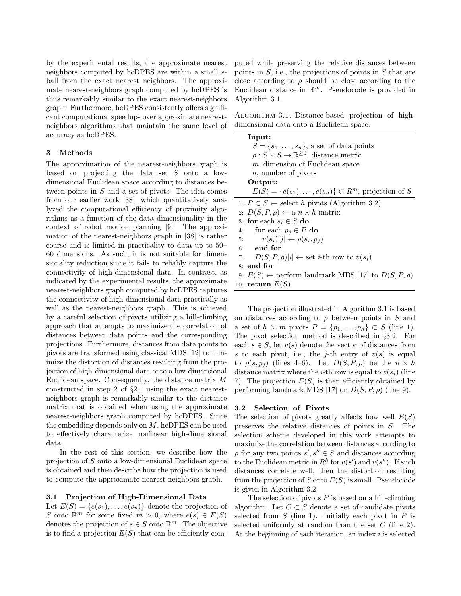by the experimental results, the approximate nearest neighbors computed by hcDPES are within a small  $\epsilon$ ball from the exact nearest neighbors. The approximate nearest-neighbors graph computed by hcDPES is thus remarkably similar to the exact nearest-neighbors graph. Furthermore, hcDPES consistently offers significant computational speedups over approximate nearestneighbors algorithms that maintain the same level of accuracy as hcDPES.

### 3 Methods

The approximation of the nearest-neighbors graph is based on projecting the data set S onto a lowdimensional Euclidean space according to distances between points in S and a set of pivots. The idea comes from our earlier work [38], which quantitatively analyzed the computational efficiency of proximity algorithms as a function of the data dimensionality in the context of robot motion planning [9]. The approximation of the nearest-neighbors graph in [38] is rather coarse and is limited in practicality to data up to 50– 60 dimensions. As such, it is not suitable for dimensionality reduction since it fails to reliably capture the connectivity of high-dimensional data. In contrast, as indicated by the experimental results, the approximate nearest-neighbors graph computed by hcDPES captures the connectivity of high-dimensional data practically as well as the nearest-neighbors graph. This is achieved by a careful selection of pivots utilizing a hill-climbing approach that attempts to maximize the correlation of distances between data points and the corresponding projections. Furthermore, distances from data points to pivots are transformed using classical MDS [12] to minimize the distortion of distances resulting from the projection of high-dimensional data onto a low-dimensional Euclidean space. Consequently, the distance matrix M constructed in step 2 of §2.1 using the exact nearestneighbors graph is remarkably similar to the distance matrix that is obtained when using the approximate nearest-neighbors graph computed by hcDPES. Since the embedding depends only on  $M$ , hcDPES can be used to effectively characterize nonlinear high-dimensional data.

In the rest of this section, we describe how the projection of S onto a low-dimensional Euclidean space is obtained and then describe how the projection is used to compute the approximate nearest-neighbors graph.

### 3.1 Projection of High-Dimensional Data

Let  $E(S) = \{e(s_1), \ldots, e(s_n)\}\)$  denote the projection of S onto  $\mathbb{R}^m$  for some fixed  $m > 0$ , where  $e(s) \in E(S)$ denotes the projection of  $s \in S$  onto  $\mathbb{R}^m$ . The objective is to find a projection  $E(S)$  that can be efficiently computed while preserving the relative distances between points in  $S$ , i.e., the projections of points in  $S$  that are close according to  $\rho$  should be close according to the Euclidean distance in  $\mathbb{R}^m$ . Pseudocode is provided in Algorithm 3.1.

ALGORITHM 3.1. Distance-based projection of highdimensional data onto a Euclidean space.

Input:  $S = \{s_1, \ldots, s_n\}$ , a set of data points  $\rho: S \times S \to \mathbb{R}^{\geq 0}$ , distance metric m, dimension of Euclidean space h, number of pivots Output:  $E(S) = \{e(s_1), \ldots, e(s_n)\} \subset R^m$ , projection of S 1:  $P \subset S$  ← select h pivots (Algorithm 3.2) 2:  $D(S, P, \rho) \leftarrow a n \times h$  matrix 3: for each  $s_i \in S$  do 4: for each  $p_i \in P$  do 5:  $v(s_i)[j] \leftarrow \rho(s_i, p_j)$ 6: end for 7:  $D(S, P, \rho)[i] \leftarrow \text{set } i\text{-th row to } v(s_i)$ 8: end for 9:  $E(S) \leftarrow$  perform landmark MDS [17] to  $D(S, P, \rho)$ 10: return  $E(S)$ 

The projection illustrated in Algorithm 3.1 is based on distances according to  $\rho$  between points in  $S$  and a set of  $h > m$  pivots  $P = \{p_1, \ldots, p_h\} \subset S$  (line 1). The pivot selection method is described in §3.2. For each  $s \in S$ , let  $v(s)$  denote the vector of distances from s to each pivot, i.e., the j-th entry of  $v(s)$  is equal to  $\rho(s, p_i)$  (lines 4–6). Let  $D(S, P, \rho)$  be the  $n \times h$ distance matrix where the *i*-th row is equal to  $v(s_i)$  (line 7). The projection  $E(S)$  is then efficiently obtained by performing landmark MDS [17] on  $D(S, P, \rho)$  (line 9).

### 3.2 Selection of Pivots

The selection of pivots greatly affects how well  $E(S)$ preserves the relative distances of points in S. The selection scheme developed in this work attempts to maximize the correlation between distances according to  $\rho$  for any two points  $s', s'' \in S$  and distances according to the Euclidean metric in  $R^h$  for  $v(s')$  and  $v(s'')$ . If such distances correlate well, then the distortion resulting from the projection of S onto  $E(S)$  is small. Pseudocode is given in Algorithm 3.2

The selection of pivots  $P$  is based on a hill-climbing algorithm. Let  $C \subset S$  denote a set of candidate pivots selected from  $S$  (line 1). Initially each pivot in  $P$  is selected uniformly at random from the set  $C$  (line 2). At the beginning of each iteration, an index  $i$  is selected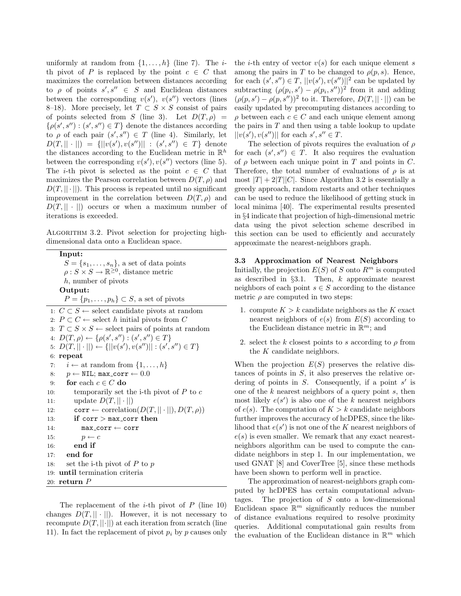uniformly at random from  $\{1, \ldots, h\}$  (line 7). The *i*th pivot of P is replaced by the point  $c \in C$  that maximizes the correlation between distances according to  $\rho$  of points  $s', s'' \in S$  and Euclidean distances between the corresponding  $v(s')$ ,  $v(s'')$  vectors (lines 8–18). More precisely, let  $T \subset S \times S$  consist of pairs of points selected from S (line 3). Let  $D(T, \rho)$  =  $\{\rho(s', s'') : (s', s'') \in T\}$  denote the distances according to  $\rho$  of each pair  $(s', s'') \in T$  (line 4). Similarly, let  $D(T, || \cdot ||) = {||v(s'), v(s'')|| : (s', s'') \in T}$  denote the distances according to the Euclidean metric in  $\mathbb{R}^h$ between the corresponding  $v(s')$ ,  $v(s'')$  vectors (line 5). The *i*-th pivot is selected as the point  $c \in C$  that maximizes the Pearson correlation between  $D(T, \rho)$  and  $D(T, || \cdot ||)$ . This process is repeated until no significant improvement in the correlation between  $D(T, \rho)$  and  $D(T, || \cdot ||)$  occurs or when a maximum number of iterations is exceeded.

ALGORITHM 3.2. Pivot selection for projecting highdimensional data onto a Euclidean space.

Input:  $S = \{s_1, \ldots, s_n\}$ , a set of data points  $\rho: S \times S \to \mathbb{R}^{\geq 0}$ , distance metric h, number of pivots Output:  $P = \{p_1, \ldots, p_h\} \subset S$ , a set of pivots 1:  $C \subset S$  ← select candidate pivots at random 2:  $P \subset C \leftarrow$  select h initial pivots from C 3:  $T \subset S \times S$  ← select pairs of points at random 4:  $D(T, \rho) \leftarrow {\rho(s', s'') : (s', s'') \in T}$ 5:  $D(T, || \cdot ||) \leftarrow {||v(s'), v(s'')|| : (s', s'') \in T}$ 6: repeat 7:  $i \leftarrow$  at random from  $\{1, \ldots, h\}$ 8:  $p \leftarrow \text{NIL}$ ; max\_corr  $\leftarrow 0.0$ 9: for each  $c \in C$  do 10: temporarily set the i-th pivot of  $P$  to  $c$ 11: update  $D(T, || \cdot ||)$ 12:  $\operatorname{corr} \leftarrow \operatorname{correlation}(D(T, || \cdot ||), D(T, \rho))$ 13: if  $corr > max_corr$  then 14:  $max\_corr \leftarrow corr$ 15:  $p \leftarrow c$ 16: end if 17: end for 18: set the i-th pivot of  $P$  to  $p$ 19: until termination criteria 20: return P

The replacement of the *i*-th pivot of  $P$  (line 10) changes  $D(T, || \cdot ||)$ . However, it is not necessary to recompute  $D(T, ||\cdot||)$  at each iteration from scratch (line 11). In fact the replacement of pivot  $p_i$  by p causes only

the *i*-th entry of vector  $v(s)$  for each unique element s among the pairs in T to be changed to  $\rho(p, s)$ . Hence, for each  $(s', s'') \in T$ ,  $||v(s'), v(s'')||^2$  can be updated by subtracting  $(\rho(p_i, s') - \rho(p_i, s''))^2$  from it and adding  $(\rho(p, s') - \rho(p, s''))^2$  to it. Therefore,  $D(T, || \cdot ||)$  can be easily updated by precomputing distances according to  $\rho$  between each  $c \in C$  and each unique element among the pairs in  $T$  and then using a table lookup to update  $||v(s'), v(s'')||$  for each  $s', s'' \in T$ .

The selection of pivots requires the evaluation of  $\rho$ for each  $(s', s'') \in T$ . It also requires the evaluation of  $\rho$  between each unique point in T and points in C. Therefore, the total number of evaluations of  $\rho$  is at most  $|T| + 2|T||C|$ . Since Algorithm 3.2 is essentially a greedy approach, random restarts and other techniques can be used to reduce the likelihood of getting stuck in local minima [40]. The experimental results presented in §4 indicate that projection of high-dimensional metric data using the pivot selection scheme described in this section can be used to efficiently and accurately approximate the nearest-neighbors graph.

## 3.3 Approximation of Nearest Neighbors

Initially, the projection  $E(S)$  of S onto  $R^m$  is computed as described in  $\S 3.1$ . Then, k approximate nearest neighbors of each point  $s \in S$  according to the distance metric  $\rho$  are computed in two steps:

- 1. compute  $K > k$  candidate neighbors as the K exact nearest neighbors of  $e(s)$  from  $E(S)$  according to the Euclidean distance metric in  $\mathbb{R}^m$ ; and
- 2. select the k closest points to s according to  $\rho$  from the K candidate neighbors.

When the projection  $E(S)$  preserves the relative distances of points in S, it also preserves the relative ordering of points in  $S$ . Consequently, if a point  $s'$  is one of the  $k$  nearest neighbors of a query point  $s$ , then most likely  $e(s')$  is also one of the k nearest neighbors of  $e(s)$ . The computation of  $K > k$  candidate neighbors further improves the accuracy of hcDPES, since the likelihood that  $e(s')$  is not one of the K nearest neighbors of  $e(s)$  is even smaller. We remark that any exact nearestneighbors algorithm can be used to compute the candidate neighbors in step 1. In our implementation, we used GNAT [8] and CoverTree [5], since these methods have been shown to perform well in practice.

The approximation of nearest-neighbors graph computed by hcDPES has certain computational advantages. The projection of  $S$  onto a low-dimensional Euclidean space  $\mathbb{R}^m$  significantly reduces the number of distance evaluations required to resolve proximity queries. Additional computational gain results from the evaluation of the Euclidean distance in  $\mathbb{R}^m$  which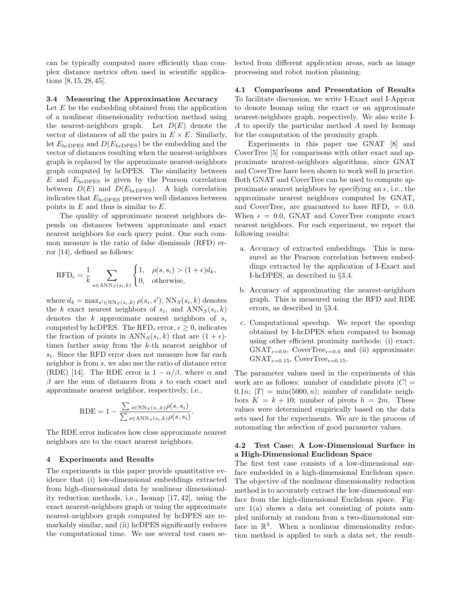can be typically computed more efficiently than complex distance metrics often used in scientific applications [8, 15, 28, 45].

### 3.4 Measuring the Approximation Accuracy

Let  $E$  be the embedding obtained from the application of a nonlinear dimensionality reduction method using the nearest-neighbors graph. Let  $D(E)$  denote the vector of distances of all the pairs in  $E \times E$ . Similarly, let  $E_{\text{hcDPES}}$  and  $D(E_{\text{hcDPES}})$  be the embedding and the vector of distances resulting when the nearest-neighbors graph is replaced by the approximate nearest-neighbors graph computed by hcDPES. The similarity between  $E$  and  $E_{\text{hcDPES}}$  is given by the Pearson correlation between  $D(E)$  and  $D(E_{\text{hcDPES}})$ . A high correlation indicates that  $E_{\text{hcDPES}}$  preserves well distances between points in  $E$  and thus is similar to  $E$ .

The quality of approximate nearest neighbors depends on distances between approximate and exact nearest neighbors for each query point. One such common measure is the ratio of false dismissals (RFD) error [14], defined as follows:

$$
RFD_{\epsilon} = \frac{1}{k} \sum_{s \in \text{ANN}_S(s_i, k)} \begin{cases} 1, & \rho(s, s_i) > (1 + \epsilon)d_k, \\ 0, & \text{otherwise,} \end{cases}
$$

where  $d_k = \max_{s' \in \text{NN}_S(s_i, k)} \rho(s_i, s')$ ,  $\text{NN}_S(s_i, k)$  denotes the k exact nearest neighbors of  $s_i$ , and  $\text{ANN}_S(s_i, k)$ denotes the  $k$  approximate nearest neighbors of  $s_i$ computed by hcDPES. The RFD<sub> $\epsilon$ </sub> error,  $\epsilon \geq 0$ , indicates the fraction of points in  $\text{ANN}_S(s_i, k)$  that are  $(1 + \epsilon)$ times farther away from the k-th nearest neighbor of  $s_i$ . Since the RFD error does not measure how far each neighbor is from s, we also use the ratio of distance error (RDE) [14]. The RDE error is  $1 - \alpha/\beta$ , where  $\alpha$  and  $\beta$  are the sum of distances from s to each exact and approximate nearest neighbor, respectively, i.e.,

$$
\text{RDE} = 1 - \frac{\sum_{s \in \text{NN}_S(s_i, k)} \rho(s, s_i)}{\sum_{s \in \text{ANN}_S(s_i, k)} \rho(s, s_i)}.
$$

The RDE error indicates how close approximate nearest neighbors are to the exact nearest neighbors.

#### 4 Experiments and Results

The experiments in this paper provide quantitative evidence that (i) low-dimensional embeddings extracted from high-dimensional data by nonlinear dimensionality reduction methods, i.e., Isomap [17, 42], using the exact nearest-neighbors graph or using the approximate nearest-neighbors graph computed by hcDPES are remarkably similar, and (ii) hcDPES significantly reduces the computational time. We use several test cases selected from different application areas, such as image processing and robot motion planning.

4.1 Comparisons and Presentation of Results To facilitate discussion, we write I-Exact and I-Approx to denote Isomap using the exact or an approximate nearest-neighbors graph, respectively. We also write I-A to specify the particular method A used by Isomap for the computation of the proximity graph.

Experiments in this paper use GNAT [8] and CoverTree [5] for comparisons with other exact and approximate nearest-neighbors algorithms, since GNAT and CoverTree have been shown to work well in practice. Both GNAT and CoverTree can be used to compute approximate nearest neighbors by specifying an  $\epsilon$ , i.e., the approximate nearest neighbors computed by  $GNAT_{\epsilon}$ and CoverTree<sub> $\epsilon$ </sub> are guaranteed to have RFD<sub> $\epsilon$ </sub> = 0.0. When  $\epsilon = 0.0$ , GNAT and CoverTree compute exact nearest neighbors. For each experiment, we report the following results:

- a. Accuracy of extracted embeddings. This is measured as the Pearson correlation between embeddings extracted by the application of I-Exact and I-hcDPES, as described in §3.4.
- b. Accuracy of approximating the nearest-neighbors graph. This is measured using the RFD and RDE errors, as described in §3.4.
- c. Computational speedup. We report the speedup obtained by I-hcDPES when compared to Isomap using other efficient proximity methods: (i) exact:  $\text{GNAT}_{\epsilon=0.0}$ , CoverTree<sub> $\epsilon=0.0$ </sub> and (ii) approximate:  $\text{GNAT}_{\epsilon=0.15}$ , CoverTree<sub> $\epsilon=0.15$ </sub>.

The parameter values used in the experiments of this work are as follows: number of candidate pivots  $|C|$  =  $0.1n$ ;  $|T| = \min(5000, n)$ ; number of candidate neighbors  $K = k + 10$ ; number of pivots  $h = 2m$ . These values were determined empirically based on the data sets used for the experiments. We are in the process of automating the selection of good parameter values.

### 4.2 Test Case: A Low-Dimensional Surface in a High-Dimensional Euclidean Space

The first test case consists of a low-dimensional surface embedded in a high-dimensional Euclidean space. The objective of the nonlinear dimensionality reduction method is to accurately extract the low-dimensional surface from the high-dimensional Euclidean space. Figure  $1(a)$  shows a data set consisting of points sampled uniformly at random from a two-dimensional surface in  $\mathbb{R}^3$ . When a nonlinear dimensionality reduction method is applied to such a data set, the result-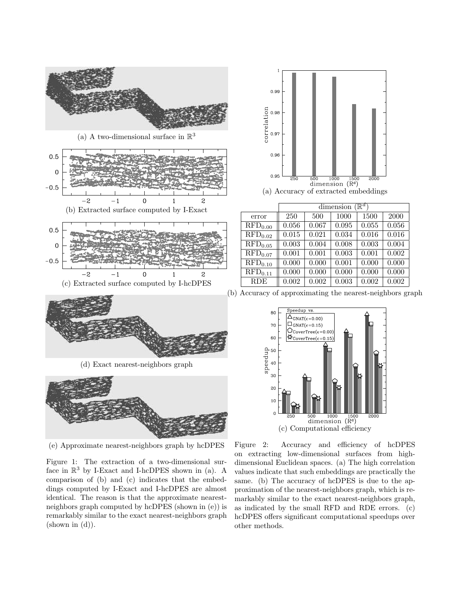



(e) Approximate nearest-neighbors graph by hcDPES

Figure 1: The extraction of a two-dimensional surface in  $\mathbb{R}^3$  by I-Exact and I-hcDPES shown in (a). A comparison of (b) and (c) indicates that the embeddings computed by I-Exact and I-hcDPES are almost identical. The reason is that the approximate nearestneighbors graph computed by hcDPES (shown in (e)) is remarkably similar to the exact nearest-neighbors graph  $(\text{shown in } (d)).$ 



|                                | $(\overline{\mathbb{R}^d})$<br>dimension |       |                    |       |       |  |  |  |
|--------------------------------|------------------------------------------|-------|--------------------|-------|-------|--|--|--|
| error                          | 250                                      | 500   | 1000               | 1500  | 2000  |  |  |  |
| $\mathrm{RFD}_{0.00}$          | 0.056                                    | 0.067 | 0.095              | 0.055 | 0.056 |  |  |  |
| $\overline{\text{RFD}}_{0.02}$ | 0.015                                    | 0.021 | 0.034              | 0.016 | 0.016 |  |  |  |
| $\overline{\text{RFD}}_{0.05}$ | 0.003                                    | 0.004 | 0.008              | 0.003 | 0.004 |  |  |  |
| $\overline{\text{RFD}}_{0.07}$ | 0.001                                    | 0.001 | $\overline{0.003}$ | 0.001 | 0.002 |  |  |  |
| $\text{RFD}_{0.10}$            | 0.000                                    | 0.000 | 0.001              | 0.000 | 0.000 |  |  |  |
| $\overline{\text{RFD}}_{0.11}$ | 0.000                                    | 0.000 | 0.000              | 0.000 | 0.000 |  |  |  |
| <b>RDE</b>                     | 0.002                                    | 0.002 | 0.003              | 0.002 | 0.002 |  |  |  |

(b) Accuracy of approximating the nearest-neighbors graph



Figure 2: Accuracy and efficiency of hcDPES on extracting low-dimensional surfaces from highdimensional Euclidean spaces. (a) The high correlation values indicate that such embeddings are practically the same. (b) The accuracy of hcDPES is due to the approximation of the nearest-neighbors graph, which is remarkably similar to the exact nearest-neighbors graph, as indicated by the small RFD and RDE errors. (c) hcDPES offers significant computational speedups over other methods.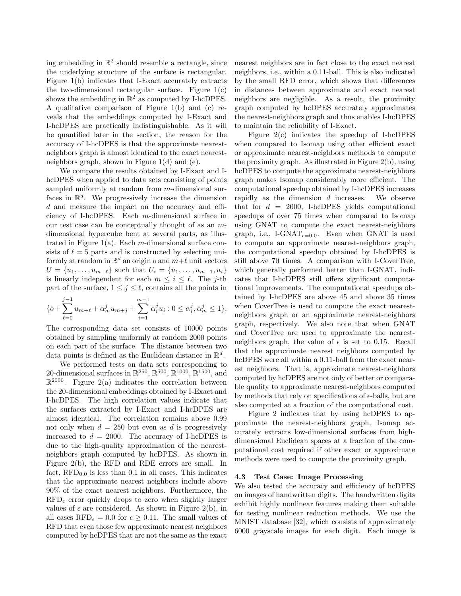ing embedding in  $\mathbb{R}^2$  should resemble a rectangle, since the underlying structure of the surface is rectangular. Figure 1(b) indicates that I-Exact accurately extracts the two-dimensional rectangular surface. Figure  $1(c)$ shows the embedding in  $\mathbb{R}^2$  as computed by I-hcDPES. A qualitative comparison of Figure 1(b) and (c) reveals that the embeddings computed by I-Exact and I-hcDPES are practically indistinguishable. As it will be quantified later in the section, the reason for the accuracy of I-hcDPES is that the approximate nearestneighbors graph is almost identical to the exact nearestneighbors graph, shown in Figure 1(d) and (e).

We compare the results obtained by I-Exact and IhcDPES when applied to data sets consisting of points sampled uniformly at random from m-dimensional surfaces in  $\mathbb{R}^d$ . We progressively increase the dimension d and measure the impact on the accuracy and efficiency of I-hcDPES. Each m-dimensional surface in our test case can be conceptually thought of as an  $m$ dimensional hypercube bent at several parts, as illustrated in Figure 1(a). Each  $m$ -dimensional surface consists of  $\ell = 5$  parts and is constructed by selecting uniformly at random in  $\mathbb{R}^d$  an origin  $o$  and  $m+\ell$  unit vectors  $U = \{u_1, \ldots, u_{m+\ell}\}\$  such that  $U_i = \{u_1, \ldots, u_{m-1}, u_i\}$ is linearly independent for each  $m \leq i \leq \ell$ . The j-th part of the surface,  $1 \leq i \leq \ell$ , contains all the points in

$$
\{o+\sum_{\ell=0}^{j-1}u_{m+\ell}+\alpha_m^ju_{m+j}+\sum_{i=1}^{m-1}\alpha_i^ju_i:0\leq\alpha_i^j,\alpha_m^j\leq 1\}.
$$

The corresponding data set consists of 10000 points obtained by sampling uniformly at random 2000 points on each part of the surface. The distance between two data points is defined as the Euclidean distance in  $\mathbb{R}^d$ .

We performed tests on data sets corresponding to 20-dimensional surfaces in  $\mathbb{R}^{250}$ ,  $\mathbb{R}^{500}$ ,  $\mathbb{R}^{1000}$ ,  $\mathbb{R}^{1500}$ , and  $\mathbb{R}^{2000}$ . Figure 2(a) indicates the correlation between the 20-dimensional embeddings obtained by I-Exact and I-hcDPES. The high correlation values indicate that the surfaces extracted by I-Exact and I-hcDPES are almost identical. The correlation remains above 0.99 not only when  $d = 250$  but even as d is progressively increased to  $d = 2000$ . The accuracy of I-hcDPES is due to the high-quality approximation of the nearestneighbors graph computed by hcDPES. As shown in Figure 2(b), the RFD and RDE errors are small. In fact,  $\text{RFD}_{0.0}$  is less than 0.1 in all cases. This indicates that the approximate nearest neighbors include above 90% of the exact nearest neighbors. Furthermore, the  $\text{RFD}_{\epsilon}$  error quickly drops to zero when slightly larger values of  $\epsilon$  are considered. As shown in Figure 2(b), in all cases RFD<sub> $\epsilon$ </sub> = 0.0 for  $\epsilon \geq 0.11$ . The small values of RFD that even those few approximate nearest neighbors computed by hcDPES that are not the same as the exact

nearest neighbors are in fact close to the exact nearest neighbors, i.e., within a 0.11-ball. This is also indicated by the small RFD error, which shows that differences in distances between approximate and exact nearest neighbors are negligible. As a result, the proximity graph computed by hcDPES accurately approximates the nearest-neighbors graph and thus enables I-hcDPES to maintain the reliability of I-Exact.

Figure 2(c) indicates the speedup of I-hcDPES when compared to Isomap using other efficient exact or approximate nearest-neighbors methods to compute the proximity graph. As illustrated in Figure 2(b), using hcDPES to compute the approximate nearest-neighbors graph makes Isomap considerably more efficient. The computational speedup obtained by I-hcDPES increases rapidly as the dimension  $d$  increases. We observe that for  $d = 2000$ , I-hcDPES yields computational speedups of over 75 times when compared to Isomap using GNAT to compute the exact nearest-neighbors graph, i.e., I-GNAT<sub> $\epsilon=0.0$ </sub>. Even when GNAT is used to compute an approximate nearest-neighbors graph, the computational speedup obtained by I-hcDPES is still above 70 times. A comparison with I-CoverTree, which generally performed better than I-GNAT, indicates that I-hcDPES still offers significant computational improvements. The computational speedups obtained by I-hcDPES are above 45 and above 35 times when CoverTree is used to compute the exact nearestneighbors graph or an approximate nearest-neighbors graph, respectively. We also note that when GNAT and CoverTree are used to approximate the nearestneighbors graph, the value of  $\epsilon$  is set to 0.15. Recall that the approximate nearest neighbors computed by hcDPES were all within a 0.11-ball from the exact nearest neighbors. That is, approximate nearest-neighbors computed by hcDPES are not only of better or comparable quality to approximate nearest-neighbors computed by methods that rely on specifications of  $\epsilon$ -balls, but are also computed at a fraction of the computational cost.

Figure 2 indicates that by using hcDPES to approximate the nearest-neighbors graph, Isomap accurately extracts low-dimensional surfaces from highdimensional Euclidean spaces at a fraction of the computational cost required if other exact or approximate methods were used to compute the proximity graph.

### 4.3 Test Case: Image Processing

We also tested the accuracy and efficiency of hcDPES on images of handwritten digits. The handwritten digits exhibit highly nonlinear features making them suitable for testing nonlinear reduction methods. We use the MNIST database [32], which consists of approximately 6000 grayscale images for each digit. Each image is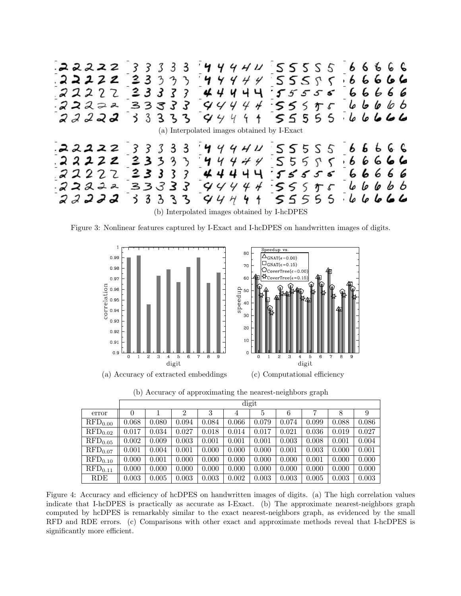

Figure 3: Nonlinear features captured by I-Exact and I-hcDPES on handwritten images of digits.



(b) Accuracy of approximating the nearest-neighbors graph

|                                | digit |       |                |       |       |       |       |       |       |       |
|--------------------------------|-------|-------|----------------|-------|-------|-------|-------|-------|-------|-------|
| error                          |       |       | $\overline{2}$ | 3     | 4     | 5     | 6     | 7     | 8     | 9     |
| $\mathrm{RFD}_{0.00}$          | 0.068 | 0.080 | 0.094          | 0.084 | 0.066 | 0.079 | 0.074 | 0.099 | 0.088 | 0.086 |
| $\text{RFD}_{0.02}$            | 0.017 | 0.034 | 0.027          | 0.018 | 0.014 | 0.017 | 0.021 | 0.036 | 0.019 | 0.027 |
| $\mathrm{RFD}_{0.05}$          | 0.002 | 0.009 | 0.003          | 0.001 | 0.001 | 0.001 | 0.003 | 0.008 | 0.001 | 0.004 |
| $\mathrm{RFD_{0.07}}$          | 0.001 | 0.004 | 0.001          | 0.000 | 0.000 | 0.000 | 0.001 | 0.003 | 0.000 | 0.001 |
| $\rm \overline{RFD_{0.10}}$    | 0.000 | 0.001 | 0.000          | 0.000 | 0.000 | 0.000 | 0.000 | 0.001 | 0.000 | 0.000 |
| $\overline{\text{RFD}}_{0.11}$ | 0.000 | 0.000 | 0.000          | 0.000 | 0.000 | 0.000 | 0.000 | 0.000 | 0.000 | 0.000 |
| <b>RDE</b>                     | 0.003 | 0.005 | 0.003          | 0.003 | 0.002 | 0.003 | 0.003 | 0.005 | 0.003 | 0.003 |

Figure 4: Accuracy and efficiency of hcDPES on handwritten images of digits. (a) The high correlation values indicate that I-hcDPES is practically as accurate as I-Exact. (b) The approximate nearest-neighbors graph computed by hcDPES is remarkably similar to the exact nearest-neighbors graph, as evidenced by the small RFD and RDE errors. (c) Comparisons with other exact and approximate methods reveal that I-hcDPES is significantly more efficient.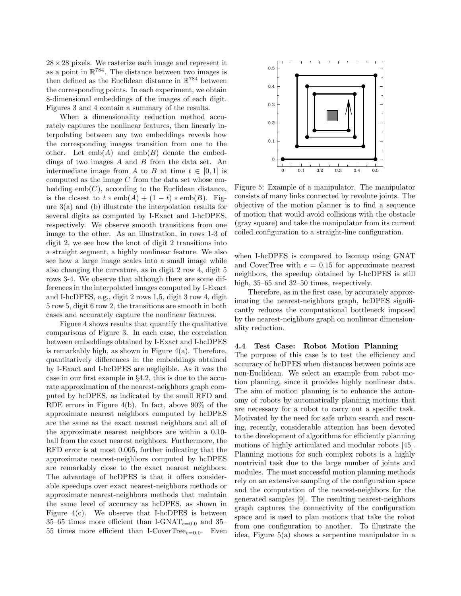$28 \times 28$  pixels. We rasterize each image and represent it as a point in  $\mathbb{R}^{784}$ . The distance between two images is then defined as the Euclidean distance in  $\mathbb{R}^{784}$  between the corresponding points. In each experiment, we obtain 8-dimensional embeddings of the images of each digit. Figures 3 and 4 contain a summary of the results.

When a dimensionality reduction method accurately captures the nonlinear features, then linearly interpolating between any two embeddings reveals how the corresponding images transition from one to the other. Let  $emb(A)$  and  $emb(B)$  denote the embeddings of two images  $A$  and  $B$  from the data set. An intermediate image from A to B at time  $t \in [0,1]$  is computed as the image  $C$  from the data set whose embedding  $emb(C)$ , according to the Euclidean distance, is the closest to  $t * \text{emb}(A) + (1 - t) * \text{emb}(B)$ . Figure 3(a) and (b) illustrate the interpolation results for several digits as computed by I-Exact and I-hcDPES, respectively. We observe smooth transitions from one image to the other. As an illustration, in rows 1-3 of digit 2, we see how the knot of digit 2 transitions into a straight segment, a highly nonlinear feature. We also see how a large image scales into a small image while also changing the curvature, as in digit 2 row 4, digit 5 rows 3-4. We observe that although there are some differences in the interpolated images computed by I-Exact and I-hcDPES, e.g., digit 2 rows 1,5, digit 3 row 4, digit 5 row 5, digit 6 row 2, the transitions are smooth in both cases and accurately capture the nonlinear features.

Figure 4 shows results that quantify the qualitative comparisons of Figure 3. In each case, the correlation between embeddings obtained by I-Exact and I-hcDPES is remarkably high, as shown in Figure  $4(a)$ . Therefore, quantitatively differences in the embeddings obtained by I-Exact and I-hcDPES are negligible. As it was the case in our first example in §4.2, this is due to the accurate approximation of the nearest-neighbors graph computed by hcDPES, as indicated by the small RFD and RDE errors in Figure 4(b). In fact, above 90% of the approximate nearest neighbors computed by hcDPES are the same as the exact nearest neighbors and all of the approximate nearest neighbors are within a 0.10 ball from the exact nearest neighbors. Furthermore, the RFD error is at most 0.005, further indicating that the approximate nearest-neighbors computed by hcDPES are remarkably close to the exact nearest neighbors. The advantage of hcDPES is that it offers considerable speedups over exact nearest-neighbors methods or approximate nearest-neighbors methods that maintain the same level of accuracy as hcDPES, as shown in Figure  $4(c)$ . We observe that I-hcDPES is between 35–65 times more efficient than I-GNAT<sub> $\epsilon=0.0$ </sub> and 35– 55 times more efficient than I-CoverTree<sub> $\epsilon=0.0$ </sub>. Even



Figure 5: Example of a manipulator. The manipulator consists of many links connected by revolute joints. The objective of the motion planner is to find a sequence of motion that would avoid collisions with the obstacle (gray square) and take the manipulator from its current coiled configuration to a straight-line configuration.

when I-hcDPES is compared to Isomap using GNAT and CoverTree with  $\epsilon = 0.15$  for approximate nearest neighbors, the speedup obtained by I-hcDPES is still high, 35–65 and 32–50 times, respectively.

Therefore, as in the first case, by accurately approximating the nearest-neighbors graph, hcDPES significantly reduces the computational bottleneck imposed by the nearest-neighbors graph on nonlinear dimensionality reduction.

### 4.4 Test Case: Robot Motion Planning

The purpose of this case is to test the efficiency and accuracy of hcDPES when distances between points are non-Euclidean. We select an example from robot motion planning, since it provides highly nonlinear data. The aim of motion planning is to enhance the autonomy of robots by automatically planning motions that are necessary for a robot to carry out a specific task. Motivated by the need for safe urban search and rescuing, recently, considerable attention has been devoted to the development of algorithms for efficiently planning motions of highly articulated and modular robots [45]. Planning motions for such complex robots is a highly nontrivial task due to the large number of joints and modules. The most successful motion planning methods rely on an extensive sampling of the configuration space and the computation of the nearest-neighbors for the generated samples [9]. The resulting nearest-neighbors graph captures the connectivity of the configuration space and is used to plan motions that take the robot from one configuration to another. To illustrate the idea, Figure 5(a) shows a serpentine manipulator in a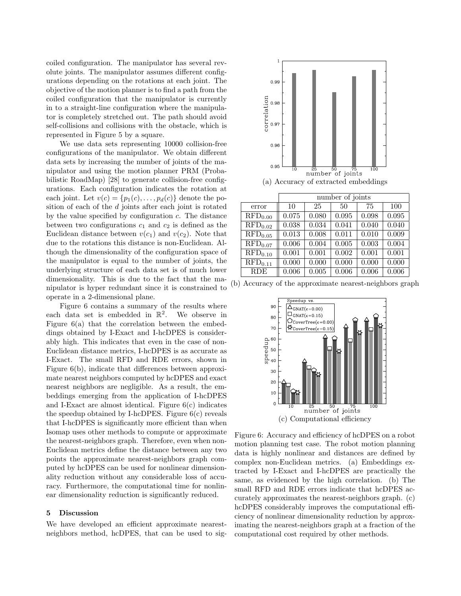coiled configuration. The manipulator has several revolute joints. The manipulator assumes different configurations depending on the rotations at each joint. The objective of the motion planner is to find a path from the coiled configuration that the manipulator is currently in to a straight-line configuration where the manipulator is completely stretched out. The path should avoid self-collisions and collisions with the obstacle, which is represented in Figure 5 by a square.

We use data sets representing 10000 collision-free configurations of the manipulator. We obtain different data sets by increasing the number of joints of the manipulator and using the motion planner PRM (Probabilistic RoadMap) [28] to generate collision-free configurations. Each configuration indicates the rotation at each joint. Let  $v(c) = \{p_1(c), \ldots, p_d(c)\}\$  denote the position of each of the d joints after each joint is rotated by the value specified by configuration c. The distance between two configurations  $c_1$  and  $c_2$  is defined as the Euclidean distance between  $v(c_1)$  and  $v(c_2)$ . Note that due to the rotations this distance is non-Euclidean. Although the dimensionality of the configuration space of the manipulator is equal to the number of joints, the underlying structure of each data set is of much lower dimensionality. This is due to the fact that the manipulator is hyper redundant since it is constrained to operate in a 2-dimensional plane.

Figure 6 contains a summary of the results where each data set is embedded in  $\mathbb{R}^2$ . We observe in Figure 6(a) that the correlation between the embeddings obtained by I-Exact and I-hcDPES is considerably high. This indicates that even in the case of non-Euclidean distance metrics, I-hcDPES is as accurate as I-Exact. The small RFD and RDE errors, shown in Figure 6(b), indicate that differences between approximate nearest neighbors computed by hcDPES and exact nearest neighbors are negligible. As a result, the embeddings emerging from the application of I-hcDPES and I-Exact are almost identical. Figure 6(c) indicates the speedup obtained by I-hcDPES. Figure  $6(c)$  reveals that I-hcDPES is significantly more efficient than when Isomap uses other methods to compute or approximate the nearest-neighbors graph. Therefore, even when non-Euclidean metrics define the distance between any two points the approximate nearest-neighbors graph computed by hcDPES can be used for nonlinear dimensionality reduction without any considerable loss of accuracy. Furthermore, the computational time for nonlinear dimensionality reduction is significantly reduced.

### 5 Discussion

We have developed an efficient approximate nearestneighbors method, hcDPES, that can be used to sig-



|                       | number of joints   |       |                    |       |       |  |  |  |
|-----------------------|--------------------|-------|--------------------|-------|-------|--|--|--|
| error                 | 10                 | 25    | 50                 | 75    | 100   |  |  |  |
| $\mathrm{RFD}_{0.00}$ | 0.075              | 0.080 | 0.095              | 0.098 | 0.095 |  |  |  |
| $\mathrm{RFD}_{0.02}$ | 0.038              | 0.034 | 0.041              | 0.040 | 0.040 |  |  |  |
| $\mathrm{RFD}_{0.05}$ | 0.013              | 0.008 | 0.011              | 0.010 | 0.009 |  |  |  |
| $\mathrm{RFD}_{0.07}$ | 0.006              | 0.004 | 0.005              | 0.003 | 0.004 |  |  |  |
| $\mathrm{RFD}_{0.10}$ | 0.001              | 0.001 | $\overline{0.002}$ | 0.001 | 0.001 |  |  |  |
| $\mathrm{RFD}_{0.11}$ | 0.000              | 0.000 | 0.000              | 0.000 | 0.000 |  |  |  |
| <b>RDE</b>            | $\overline{0.006}$ | 0.005 | 0.006              | 0.006 | 0.006 |  |  |  |

(b) Accuracy of the approximate nearest-neighbors graph



Figure 6: Accuracy and efficiency of hcDPES on a robot motion planning test case. The robot motion planning data is highly nonlinear and distances are defined by complex non-Euclidean metrics. (a) Embeddings extracted by I-Exact and I-hcDPES are practically the same, as evidenced by the high correlation. (b) The small RFD and RDE errors indicate that hcDPES accurately approximates the nearest-neighbors graph. (c) hcDPES considerably improves the computational efficiency of nonlinear dimensionality reduction by approximating the nearest-neighbors graph at a fraction of the computational cost required by other methods.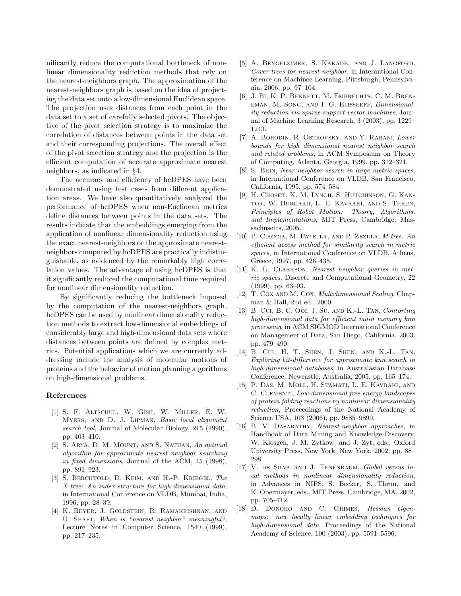nificantly reduce the computational bottleneck of nonlinear dimensionality reduction methods that rely on the nearest-neighbors graph. The approximation of the nearest-neighbors graph is based on the idea of projecting the data set onto a low-dimensional Euclidean space. The projection uses distances from each point in the data set to a set of carefully selected pivots. The objective of the pivot selection strategy is to maximize the correlation of distances between points in the data set and their corresponding projections. The overall effect of the pivot selection strategy and the projection is the efficient computation of accurate approximate nearest neighbors, as indicated in §4.

The accuracy and efficiency of hcDPES have been demonstrated using test cases from different application areas. We have also quantitatively analyzed the performance of hcDPES when non-Euclidean metrics define distances between points in the data sets. The results indicate that the embeddings emerging from the application of nonlinear dimensionality reduction using the exact nearest-neighbors or the approximate nearestneighbors computed by hcDPES are practically indistinguishable, as evidenced by the remarkably high correlation values. The advantage of using hcDPES is that it significantly reduced the computational time required for nonlinear dimensionality reduction.

By significantly reducing the bottleneck imposed by the computation of the nearest-neighbors graph, hcDPES can be used by nonlinear dimensionality reduction methods to extract low-dimensional embeddings of considerably large and high-dimensional data sets where distances between points are defined by complex metrics. Potential applications which we are currently addressing include the analysis of molecular motions of proteins and the behavior of motion planning algorithms on high-dimensional problems.

### References

- [1] S. F. Altschul, W. Gish, W. Miller, E. W. Myers, and D. J. Lipman, Basic local alignment search tool, Journal of Molecular Biology, 215 (1990), pp. 403–410.
- [2] S. Arya, D. M. Mount, and S. Nathan, An optimal algorithm for approximate nearest neighbor searching in fixed dimensions, Journal of the ACM, 45 (1998), pp. 891–923.
- [3] S. BERCHTOLD, D. KEIM, AND H.-P. KRIEGEL, The X-tree: An index structure for high-dimensional data, in International Conference on VLDB, Mumbai, India, 1996, pp. 28–39.
- [4] K. Beyer, J. Goldstein, R. Ramakrishnan, and U. SHAFT, When is "nearest neighbor" meaningful?, Lecture Notes in Computer Science, 1540 (1999), pp. 217–235.
- [5] A. Beygelzimer, S. Kakade, and J. Langford, Cover trees for nearest neighbor, in Interantional Conference on Machince Learning, Pittsburgh, Pennsylvania, 2006, pp. 97–104.
- [6] J. BI, K. P. BENNETT, M. EMBRECHTS, C. M. BRENeman, M. Song, and I. G. Elisseeff, Dimensionality reduction via sparse support vector machines, Journal of Machine Learning Research, 3 (2003), pp. 1229– 1243.
- [7] A. Borodin, R. Ostrovsky, and Y. Rabani, Lower bounds for high dimensional nearest neighbor search and related problems, in ACM Symposium on Theory of Computing, Atlanta, Georgia, 1999, pp. 312–321.
- [8] S. BRIN, Near neighbor search in large metric spaces, in International Conference on VLDB, San Francisco, California, 1995, pp. 574–584.
- [9] H. CHOSET, K. M. LYNCH, S. HUTCHINSON, G. KANtor, W. Burgard, L. E. Kavraki, and S. Thrun, Principles of Robot Motion: Theory, Algorithms, and Implementations, MIT Press, Cambridge, Massachusetts, 2005.
- [10] P. Ciaccia, M. Patella, and P. Zezula, M-tree: An efficient access method for similarity search in metric spaces, in International Conference on VLDB, Athens, Greece, 1997, pp. 426–435.
- [11] K. L. CLARKSON, Nearest neighbor queries in metric spaces, Discrete and Computational Geometry, 22 (1999), pp. 63–93.
- [12] T. COX AND M. COX, *Multidimensional Scaling*, Chapman & Hall, 2nd ed., 2000.
- [13] B. Cui, B. C. Ooi, J. Su, AND K.-L. Tan, Contorting high-dimensional data for efficient main memory knn processing, in ACM SIGMOD International Conference on Management of Data, San Diego, California, 2003, pp. 479–490.
- [14] B. CUI, H. T. SHEN, J. SHEN, AND K.-L. TAN, Exploring bit-difference for approximate knn search in high-dimensional databases, in Australasian Database Conference, Newcastle, Australia, 2005, pp. 165–174.
- [15] P. Das, M. Moll, H. Stamati, L. E. Kavraki, and C. CLEMENTI, Low-dimensional free energy landscapes of protein folding reactions by nonlinear dimensionality reduction, Proceedings of the National Academy of Science USA, 103 (2006), pp. 9885–9890.
- [16] B. V. DASARATHY, Nearest-neighbor approaches, in Handbook of Data Mining and Knowledge Discovery, W. Klosgen, J. M. Zytkow, and J. Zyt, eds., Oxford University Press, New York, New York, 2002, pp. 88– 298.
- [17] V. de Silva and J. Tenenbaum, Global versus local methods in nonlinear dimensionality reduction, in Advances in NIPS, S. Becker, S. Thrun, and K. Obermayer, eds., MIT Press, Cambridge, MA, 2002, pp. 705–712.
- [18] D. DONOHO AND C. GRIMES, Hessian eigenmaps: new locally linear embedding techniques for high-dimensional data, Proceedings of the National Academy of Science, 100 (2003), pp. 5591–5596.